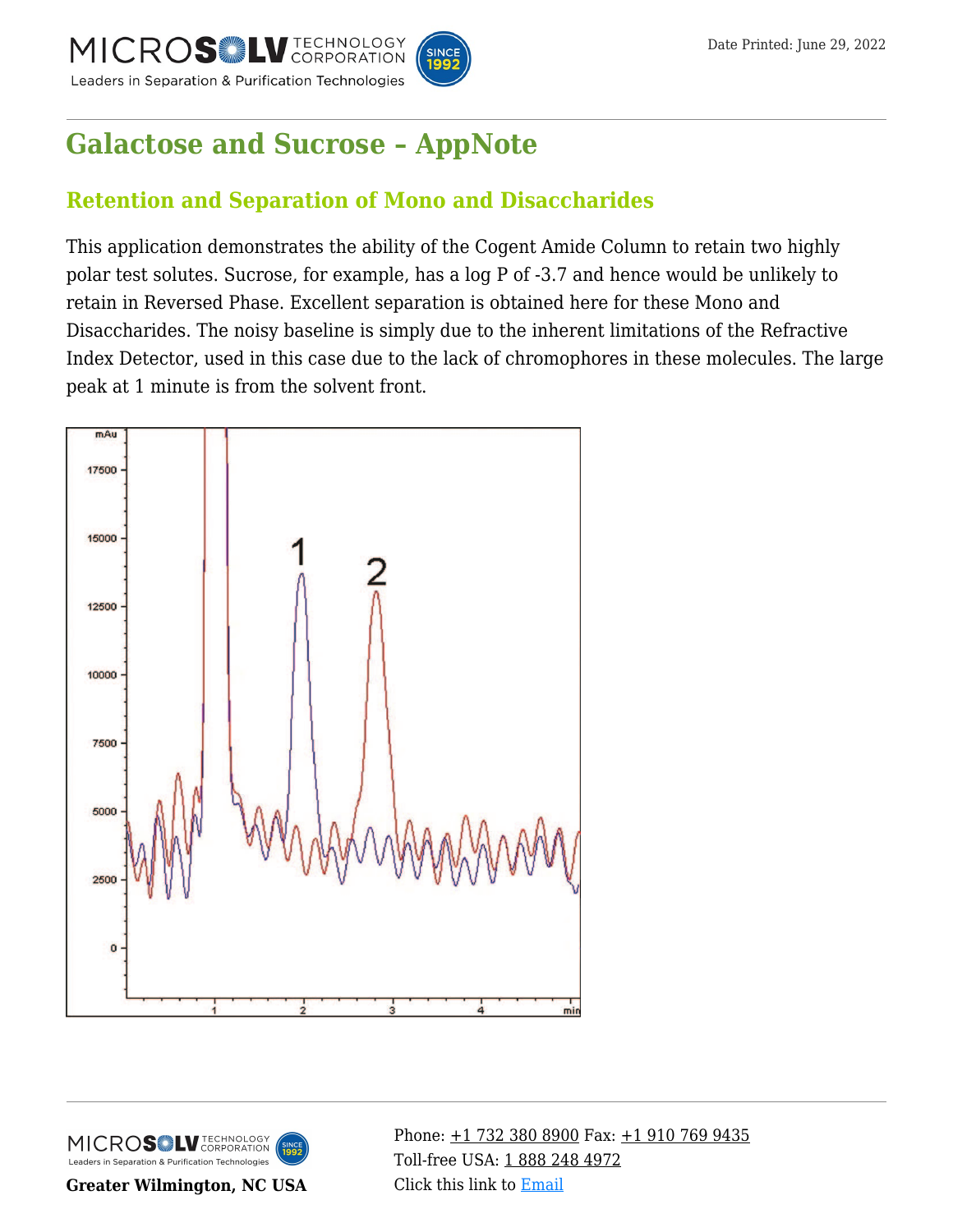

# **[Galactose and Sucrose – AppNote](https://kb.mtc-usa.com/article/aa-02867/46/)**

## **Retention and Separation of Mono and Disaccharides**

This application demonstrates the ability of the Cogent Amide Column to retain two highly polar test solutes. Sucrose, for example, has a log P of -3.7 and hence would be unlikely to retain in Reversed Phase. Excellent separation is obtained here for these Mono and Disaccharides. The noisy baseline is simply due to the inherent limitations of the Refractive Index Detector, used in this case due to the lack of chromophores in these molecules. The large peak at 1 minute is from the solvent front.





**Greater Wilmington, NC USA**

Phone:  $\pm$ 1 732 380 8900 Fax:  $\pm$ 1 910 769 9435 Toll-free USA: [1 888 248 4972](#page--1-0) Click this link to [Email](https://www.mtc-usa.com/contact)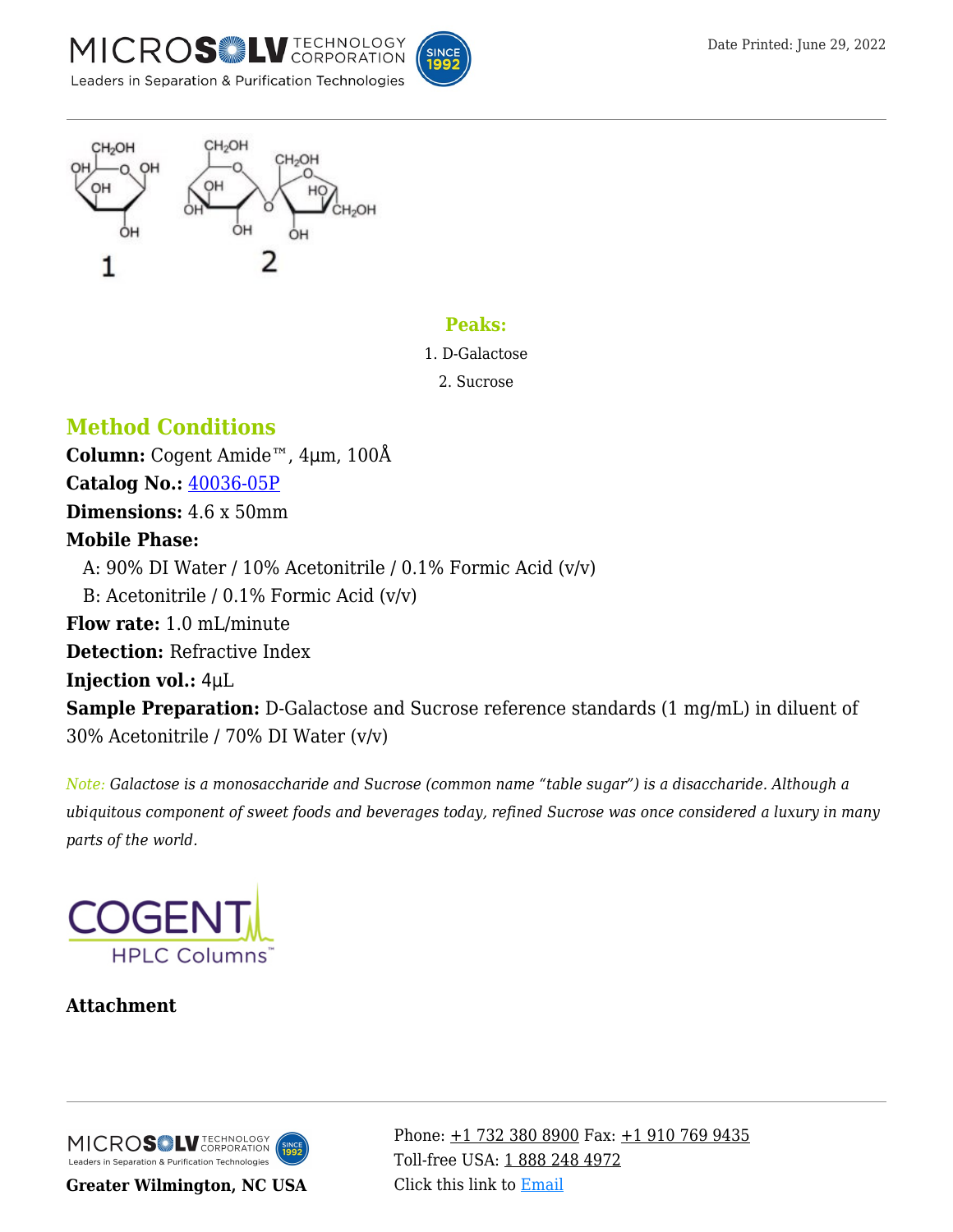





#### **Peaks:**

1. D-Galactose

2. Sucrose

### **Method Conditions**

**Column:** Cogent Amide™, 4μm, 100Å **Catalog No.:** [40036-05P](https://www.mtc-usa.com/product-details/id/4111930/catalog/40036-05p) **Dimensions:** 4.6 x 50mm **Mobile Phase:** A:  $90\%$  DI Water / 10% Acetonitrile / 0.1% Formic Acid (v/v) B: Acetonitrile /  $0.1\%$  Formic Acid (v/v) **Flow rate:** 1.0 mL/minute **Detection:** Refractive Index **Injection vol.:** 4μL **Sample Preparation:** D-Galactose and Sucrose reference standards (1 mg/mL) in diluent of 30% Acetonitrile / 70% DI Water (v/v)

*Note: Galactose is a monosaccharide and Sucrose (common name "table sugar") is a disaccharide. Although a ubiquitous component of sweet foods and beverages today, refined Sucrose was once considered a luxury in many parts of the world.*



#### **Attachment**

MICROS LU TECHNOLOGY Leaders in Separation & Purification Technologies

**Greater Wilmington, NC USA**

Phone:  $\pm$ 1 732 380 8900 Fax:  $\pm$ 1 910 769 9435 Toll-free USA: [1 888 248 4972](#page--1-0) Click this link to [Email](https://www.mtc-usa.com/contact)